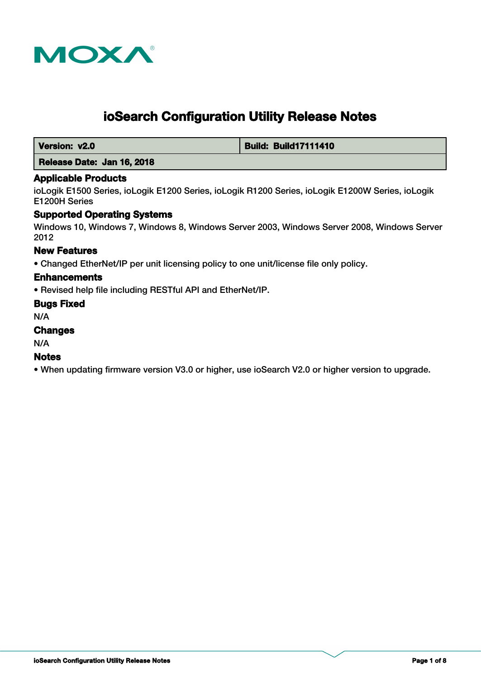

# **ioSearch Configuration Utility Release Notes**

 **Version: v2.0 Build: Build: Build17111410** 

# **Release Date: Jan 16, 2018**

#### **Applicable Products**

ioLogik E1500 Series, ioLogik E1200 Series, ioLogik R1200 Series, ioLogik E1200W Series, ioLogik E1200H Series

### **Supported Operating Systems**

Windows 10, Windows 7, Windows 8, Windows Server 2003, Windows Server 2008, Windows Server 2012

#### **New Features**

• Changed EtherNet/IP per unit licensing policy to one unit/license file only policy.

#### **Enhancements**

• Revised help file including RESTful API and EtherNet/IP.

#### **Bugs Fixed**

N/A

# **Changes**

N/A

#### **Notes**

• When updating firmware version V3.0 or higher, use ioSearch V2.0 or higher version to upgrade.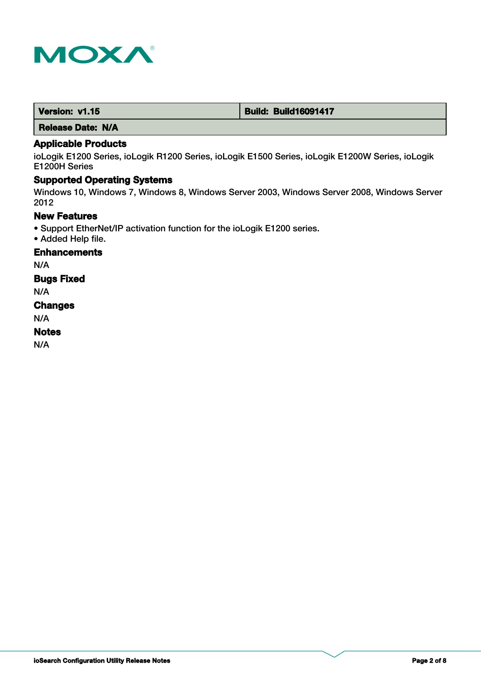

| Version: v1.15 | <b>Build: Build16091417</b> |
|----------------|-----------------------------|
|                |                             |

 **Release Date: N/A**

# **Applicable Products**

ioLogik E1200 Series, ioLogik R1200 Series, ioLogik E1500 Series, ioLogik E1200W Series, ioLogik E1200H Series

# **Supported Operating Systems**

Windows 10, Windows 7, Windows 8, Windows Server 2003, Windows Server 2008, Windows Server 2012

# **New Features**

- Support EtherNet/IP activation function for the ioLogik E1200 series.
- Added Help file.

**Enhancements**

N/A

**Bugs Fixed**

N/A

#### **Changes**

N/A

#### **Notes**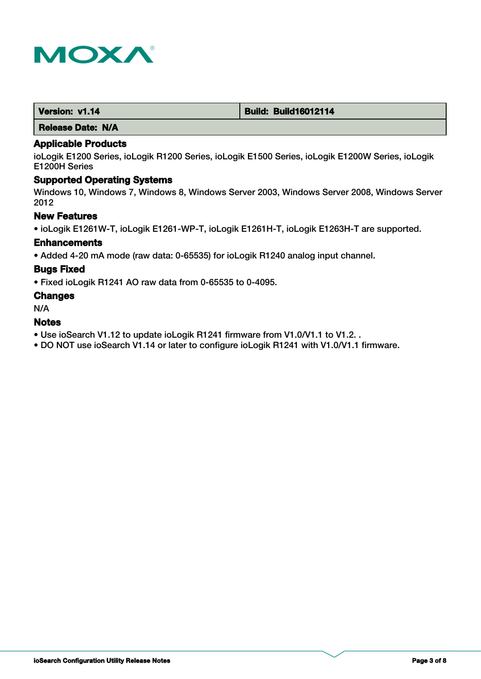

| Version: v1.14 | <b>Build: Build16012114</b> |
|----------------|-----------------------------|
|                |                             |

 **Release Date: N/A**

#### **Applicable Products**

ioLogik E1200 Series, ioLogik R1200 Series, ioLogik E1500 Series, ioLogik E1200W Series, ioLogik E1200H Series

# **Supported Operating Systems**

Windows 10, Windows 7, Windows 8, Windows Server 2003, Windows Server 2008, Windows Server 2012

## **New Features**

• ioLogik E1261W-T, ioLogik E1261-WP-T, ioLogik E1261H-T, ioLogik E1263H-T are supported.

#### **Enhancements**

• Added 4-20 mA mode (raw data: 0-65535) for ioLogik R1240 analog input channel.

#### **Bugs Fixed**

• Fixed ioLogik R1241 AO raw data from 0-65535 to 0-4095.

#### **Changes**

N/A

#### **Notes**

- Use ioSearch V1.12 to update ioLogik R1241 firmware from V1.0/V1.1 to V1.2. .
- DO NOT use ioSearch V1.14 or later to configure ioLogik R1241 with V1.0/V1.1 firmware.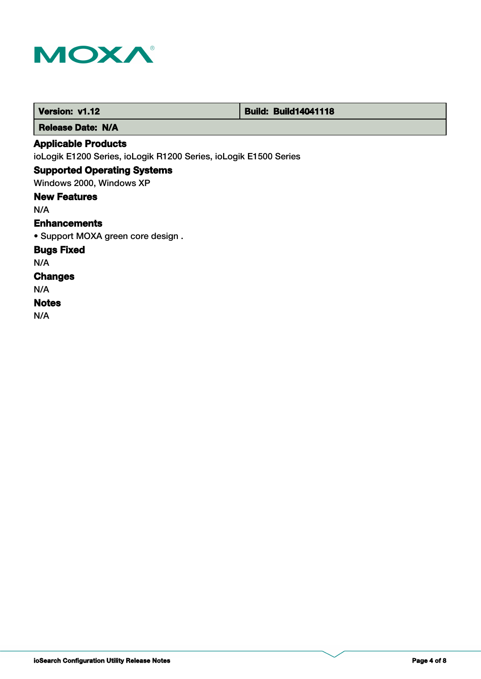

| Version: v1.12                                                   | <b>Build: Build14041118</b> |
|------------------------------------------------------------------|-----------------------------|
| <b>Release Date: N/A</b>                                         |                             |
| <b>Applicable Products</b>                                       |                             |
| ioLogik E1200 Series, ioLogik R1200 Series, ioLogik E1500 Series |                             |
| <b>Supported Operating Systems</b>                               |                             |
| Windows 2000, Windows XP                                         |                             |
| <b>New Features</b>                                              |                             |
| N/A                                                              |                             |
| <b>Enhancements</b>                                              |                             |
| • Support MOXA green core design.                                |                             |
| <b>Bugs Fixed</b>                                                |                             |
| N/A                                                              |                             |
| <b>Changes</b>                                                   |                             |
| N/A                                                              |                             |
| <b>Notes</b>                                                     |                             |
| N/A                                                              |                             |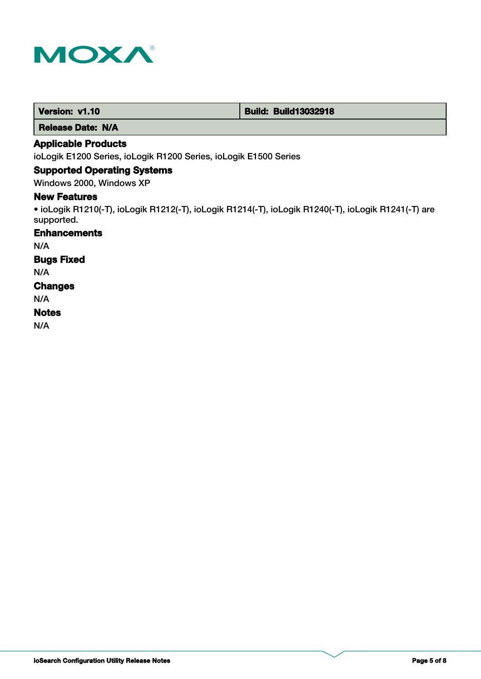

 **Release Date: N/A**

# **Applicable Products**

ioLogik E1200 Series, ioLogik R1200 Series, ioLogik E1500 Series

## **Supported Operating Systems**

Windows 2000, Windows XP

### **New Features**

• ioLogik R1210(-T), ioLogik R1212(-T), ioLogik R1214(-T), ioLogik R1240(-T), ioLogik R1241(-T) are supported.

## **Enhancements**

N/A

# **Bugs Fixed**

N/A

#### **Changes**

N/A

#### **Notes**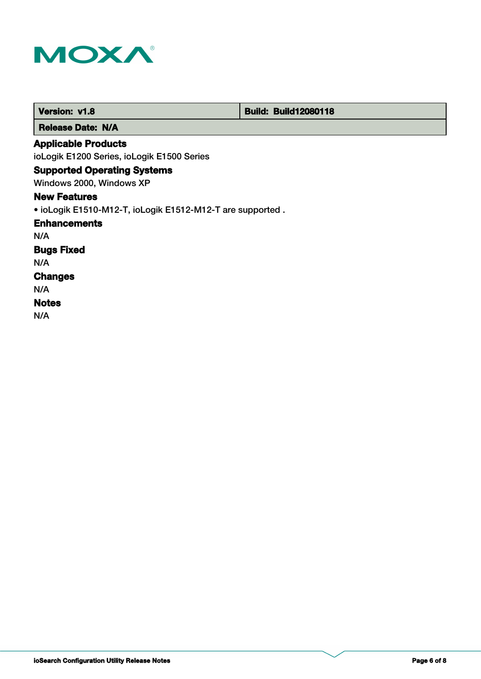

| <b>Version: v1.8</b>                                      | <b>Build: Build12080118</b> |  |
|-----------------------------------------------------------|-----------------------------|--|
| <b>Release Date: N/A</b>                                  |                             |  |
| <b>Applicable Products</b>                                |                             |  |
| ioLogik E1200 Series, ioLogik E1500 Series                |                             |  |
| <b>Supported Operating Systems</b>                        |                             |  |
| Windows 2000, Windows XP                                  |                             |  |
| <b>New Features</b>                                       |                             |  |
| • ioLogik E1510-M12-T, ioLogik E1512-M12-T are supported. |                             |  |
| <b>Enhancements</b>                                       |                             |  |
| N/A                                                       |                             |  |
| <b>Bugs Fixed</b>                                         |                             |  |
| N/A                                                       |                             |  |
| <b>Changes</b>                                            |                             |  |
| N/A                                                       |                             |  |
| <b>Notes</b>                                              |                             |  |
| N/A                                                       |                             |  |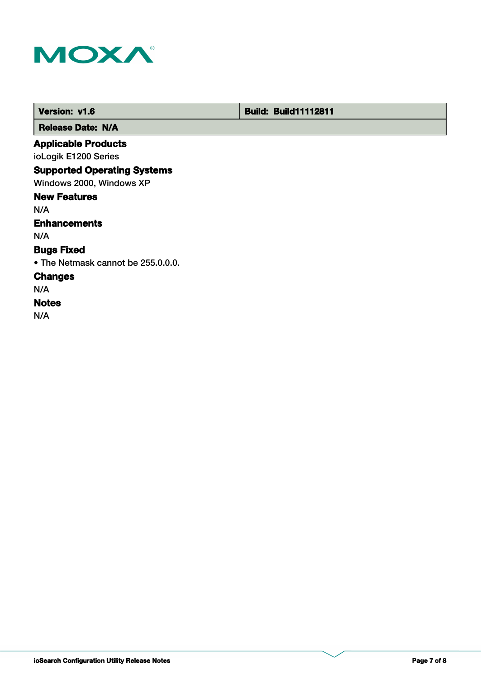

 **Version: v1.6 Build: Build: Build11112811** 

 **Release Date: N/A**

# **Applicable Products**

ioLogik E1200 Series

# **Supported Operating Systems**

Windows 2000, Windows XP

#### **New Features**

N/A

# **Enhancements**

N/A

# **Bugs Fixed**

• The Netmask cannot be 255.0.0.0.

# **Changes**

N/A

# **Notes**